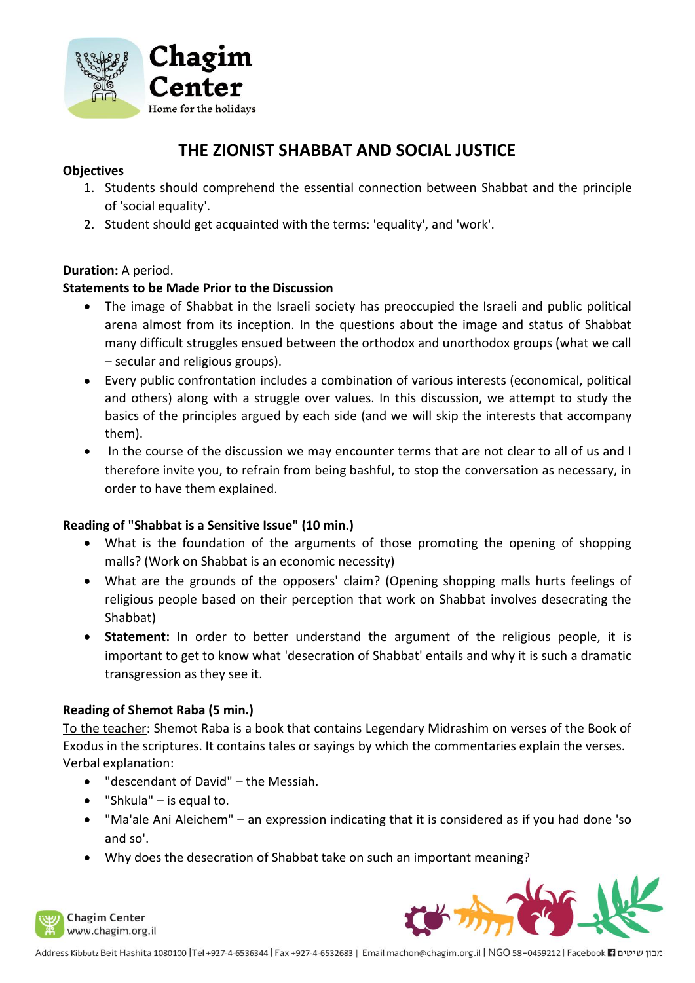

# **THE ZIONIST SHABBAT AND SOCIAL JUSTICE**

# **Objectives**

- 1. Students should comprehend the essential connection between Shabbat and the principle of 'social equality'.
- 2. Student should get acquainted with the terms: 'equality', and 'work'.

# **Duration:** A period.

# **Statements to be Made Prior to the Discussion**

- The image of Shabbat in the Israeli society has preoccupied the Israeli and public political arena almost from its inception. In the questions about the image and status of Shabbat many difficult struggles ensued between the orthodox and unorthodox groups (what we call – secular and religious groups).
- Every public confrontation includes a combination of various interests (economical, political and others) along with a struggle over values. In this discussion, we attempt to study the basics of the principles argued by each side (and we will skip the interests that accompany them).
- In the course of the discussion we may encounter terms that are not clear to all of us and I therefore invite you, to refrain from being bashful, to stop the conversation as necessary, in order to have them explained.

### **Reading of "Shabbat is a Sensitive Issue" (10 min.)**

- What is the foundation of the arguments of those promoting the opening of shopping malls? (Work on Shabbat is an economic necessity)
- What are the grounds of the opposers' claim? (Opening shopping malls hurts feelings of religious people based on their perception that work on Shabbat involves desecrating the Shabbat)
- **Statement:** In order to better understand the argument of the religious people, it is important to get to know what 'desecration of Shabbat' entails and why it is such a dramatic transgression as they see it.

### **Reading of Shemot Raba (5 min.)**

To the teacher: Shemot Raba is a book that contains Legendary Midrashim on verses of the Book of Exodus in the scriptures. It contains tales or sayings by which the commentaries explain the verses. Verbal explanation:

- "descendant of David" the Messiah.
- "Shkula" is equal to.
- "Ma'ale Ani Aleichem" an expression indicating that it is considered as if you had done 'so and so'.
- Why does the desecration of Shabbat take on such an important meaning?



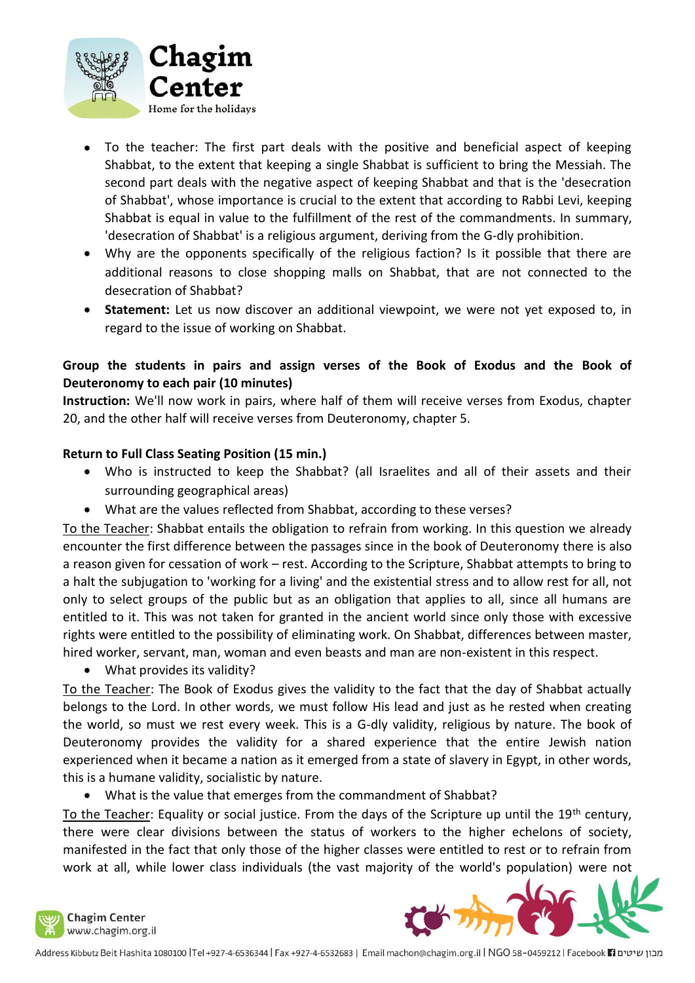

- To the teacher: The first part deals with the positive and beneficial aspect of keeping Shabbat, to the extent that keeping a single Shabbat is sufficient to bring the Messiah. The second part deals with the negative aspect of keeping Shabbat and that is the 'desecration of Shabbat', whose importance is crucial to the extent that according to Rabbi Levi, keeping Shabbat is equal in value to the fulfillment of the rest of the commandments. In summary, 'desecration of Shabbat' is a religious argument, deriving from the G-dly prohibition.
- Why are the opponents specifically of the religious faction? Is it possible that there are additional reasons to close shopping malls on Shabbat, that are not connected to the desecration of Shabbat?
- **Statement:** Let us now discover an additional viewpoint, we were not yet exposed to, in regard to the issue of working on Shabbat.

# **Group the students in pairs and assign verses of the Book of Exodus and the Book of Deuteronomy to each pair (10 minutes)**

**Instruction:** We'll now work in pairs, where half of them will receive verses from Exodus, chapter 20, and the other half will receive verses from Deuteronomy, chapter 5.

# **Return to Full Class Seating Position (15 min.)**

- Who is instructed to keep the Shabbat? (all Israelites and all of their assets and their surrounding geographical areas)
- What are the values reflected from Shabbat, according to these verses?

To the Teacher: Shabbat entails the obligation to refrain from working. In this question we already encounter the first difference between the passages since in the book of Deuteronomy there is also a reason given for cessation of work – rest. According to the Scripture, Shabbat attempts to bring to a halt the subjugation to 'working for a living' and the existential stress and to allow rest for all, not only to select groups of the public but as an obligation that applies to all, since all humans are entitled to it. This was not taken for granted in the ancient world since only those with excessive rights were entitled to the possibility of eliminating work. On Shabbat, differences between master, hired worker, servant, man, woman and even beasts and man are non-existent in this respect.

• What provides its validity?

To the Teacher: The Book of Exodus gives the validity to the fact that the day of Shabbat actually belongs to the Lord. In other words, we must follow His lead and just as he rested when creating the world, so must we rest every week. This is a G-dly validity, religious by nature. The book of Deuteronomy provides the validity for a shared experience that the entire Jewish nation experienced when it became a nation as it emerged from a state of slavery in Egypt, in other words, this is a humane validity, socialistic by nature.

### • What is the value that emerges from the commandment of Shabbat?

To the Teacher: Equality or social justice. From the days of the Scripture up until the 19<sup>th</sup> century, there were clear divisions between the status of workers to the higher echelons of society, manifested in the fact that only those of the higher classes were entitled to rest or to refrain from work at all, while lower class individuals (the vast majority of the world's population) were not

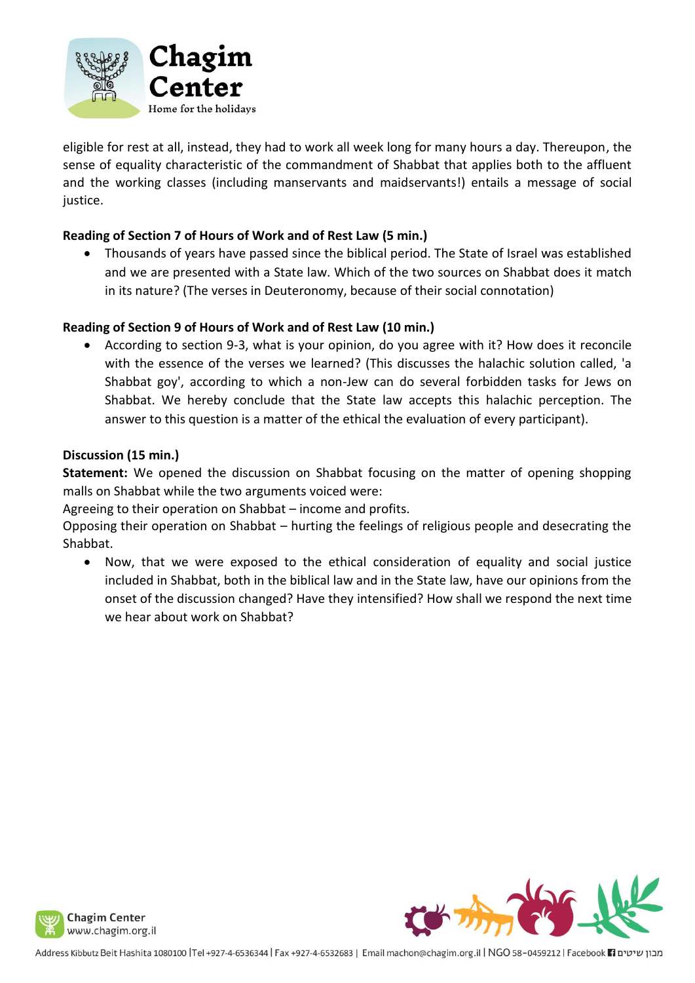

eligible for rest at all, instead, they had to work all week long for many hours a day. Thereupon, the sense of equality characteristic of the commandment of Shabbat that applies both to the affluent and the working classes (including manservants and maidservants!) entails a message of social justice.

# **Reading of Section 7 of Hours of Work and of Rest Law (5 min.)**

• Thousands of years have passed since the biblical period. The State of Israel was established and we are presented with a State law. Which of the two sources on Shabbat does it match in its nature? (The verses in Deuteronomy, because of their social connotation)

# **Reading of Section 9 of Hours of Work and of Rest Law (10 min.)**

• According to section 9-3, what is your opinion, do you agree with it? How does it reconcile with the essence of the verses we learned? (This discusses the halachic solution called, 'a Shabbat goy', according to which a non-Jew can do several forbidden tasks for Jews on Shabbat. We hereby conclude that the State law accepts this halachic perception. The answer to this question is a matter of the ethical the evaluation of every participant).

### **Discussion (15 min.)**

**Statement:** We opened the discussion on Shabbat focusing on the matter of opening shopping malls on Shabbat while the two arguments voiced were:

Agreeing to their operation on Shabbat – income and profits.

Opposing their operation on Shabbat – hurting the feelings of religious people and desecrating the Shabbat.

• Now, that we were exposed to the ethical consideration of equality and social justice included in Shabbat, both in the biblical law and in the State law, have our opinions from the onset of the discussion changed? Have they intensified? How shall we respond the next time we hear about work on Shabbat?



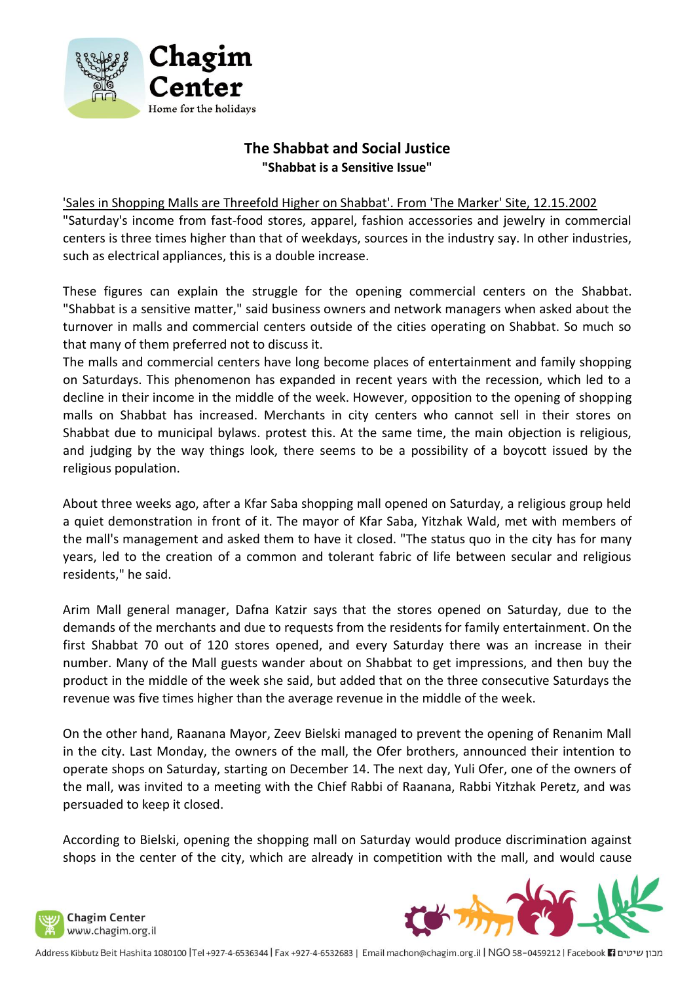

# **The Shabbat and Social Justice "Shabbat is a Sensitive Issue"**

#### 'Sales in Shopping Malls are Threefold Higher on Shabbat'. From 'The Marker' Site, 12.15.2002

"Saturday's income from fast-food stores, apparel, fashion accessories and jewelry in commercial centers is three times higher than that of weekdays, sources in the industry say. In other industries, such as electrical appliances, this is a double increase.

These figures can explain the struggle for the opening commercial centers on the Shabbat. "Shabbat is a sensitive matter," said business owners and network managers when asked about the turnover in malls and commercial centers outside of the cities operating on Shabbat. So much so that many of them preferred not to discuss it.

The malls and commercial centers have long become places of entertainment and family shopping on Saturdays. This phenomenon has expanded in recent years with the recession, which led to a decline in their income in the middle of the week. However, opposition to the opening of shopping malls on Shabbat has increased. Merchants in city centers who cannot sell in their stores on Shabbat due to municipal bylaws. protest this. At the same time, the main objection is religious, and judging by the way things look, there seems to be a possibility of a boycott issued by the religious population.

About three weeks ago, after a Kfar Saba shopping mall opened on Saturday, a religious group held a quiet demonstration in front of it. The mayor of Kfar Saba, Yitzhak Wald, met with members of the mall's management and asked them to have it closed. "The status quo in the city has for many years, led to the creation of a common and tolerant fabric of life between secular and religious residents," he said.

Arim Mall general manager, Dafna Katzir says that the stores opened on Saturday, due to the demands of the merchants and due to requests from the residents for family entertainment. On the first Shabbat 70 out of 120 stores opened, and every Saturday there was an increase in their number. Many of the Mall guests wander about on Shabbat to get impressions, and then buy the product in the middle of the week she said, but added that on the three consecutive Saturdays the revenue was five times higher than the average revenue in the middle of the week.

On the other hand, Raanana Mayor, Zeev Bielski managed to prevent the opening of Renanim Mall in the city. Last Monday, the owners of the mall, the Ofer brothers, announced their intention to operate shops on Saturday, starting on December 14. The next day, Yuli Ofer, one of the owners of the mall, was invited to a meeting with the Chief Rabbi of Raanana, Rabbi Yitzhak Peretz, and was persuaded to keep it closed.

According to Bielski, opening the shopping mall on Saturday would produce discrimination against shops in the center of the city, which are already in competition with the mall, and would cause

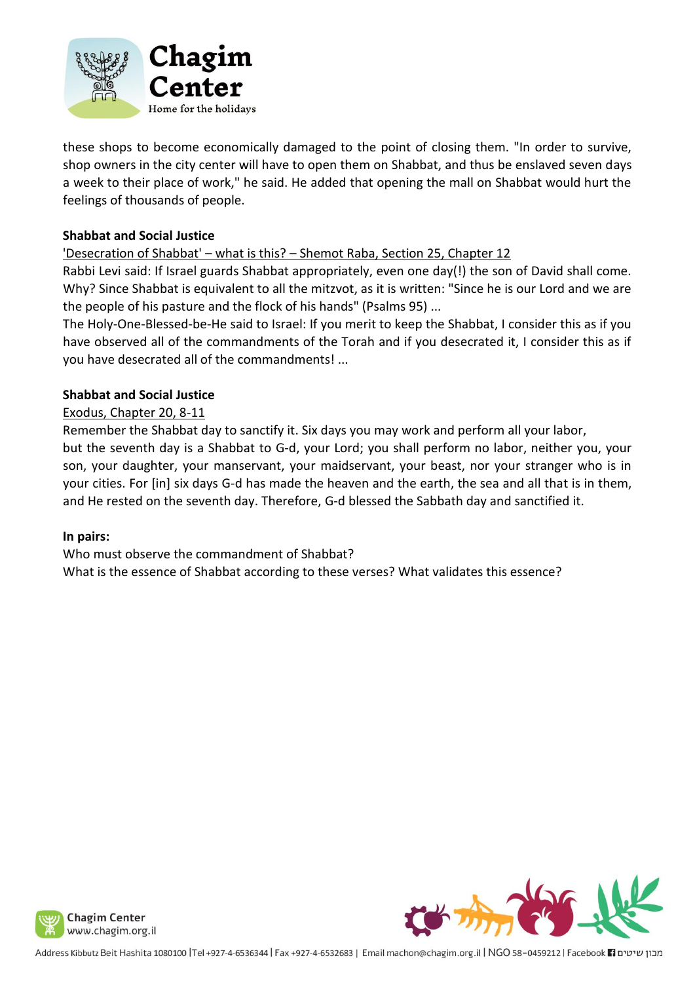

these shops to become economically damaged to the point of closing them. "In order to survive, shop owners in the city center will have to open them on Shabbat, and thus be enslaved seven days a week to their place of work," he said. He added that opening the mall on Shabbat would hurt the feelings of thousands of people.

### **Shabbat and Social Justice**

'Desecration of Shabbat' – what is this? – Shemot Raba, Section 25, Chapter 12

Rabbi Levi said: If Israel guards Shabbat appropriately, even one day(!) the son of David shall come. Why? Since Shabbat is equivalent to all the mitzvot, as it is written: "Since he is our Lord and we are the people of his pasture and the flock of his hands" (Psalms 95) ...

The Holy-One-Blessed-be-He said to Israel: If you merit to keep the Shabbat, I consider this as if you have observed all of the commandments of the Torah and if you desecrated it, I consider this as if you have desecrated all of the commandments! ...

### **Shabbat and Social Justice**

# Exodus, Chapter 20, 8-11

Remember the Shabbat day to sanctify it. Six days you may work and perform all your labor, but the seventh day is a Shabbat to G-d, your Lord; you shall perform no labor, neither you, your son, your daughter, your manservant, your maidservant, your beast, nor your stranger who is in your cities. For [in] six days G-d has made the heaven and the earth, the sea and all that is in them, and He rested on the seventh day. Therefore, G-d blessed the Sabbath day and sanctified it.

### **In pairs:**

Who must observe the commandment of Shabbat? What is the essence of Shabbat according to these verses? What validates this essence?